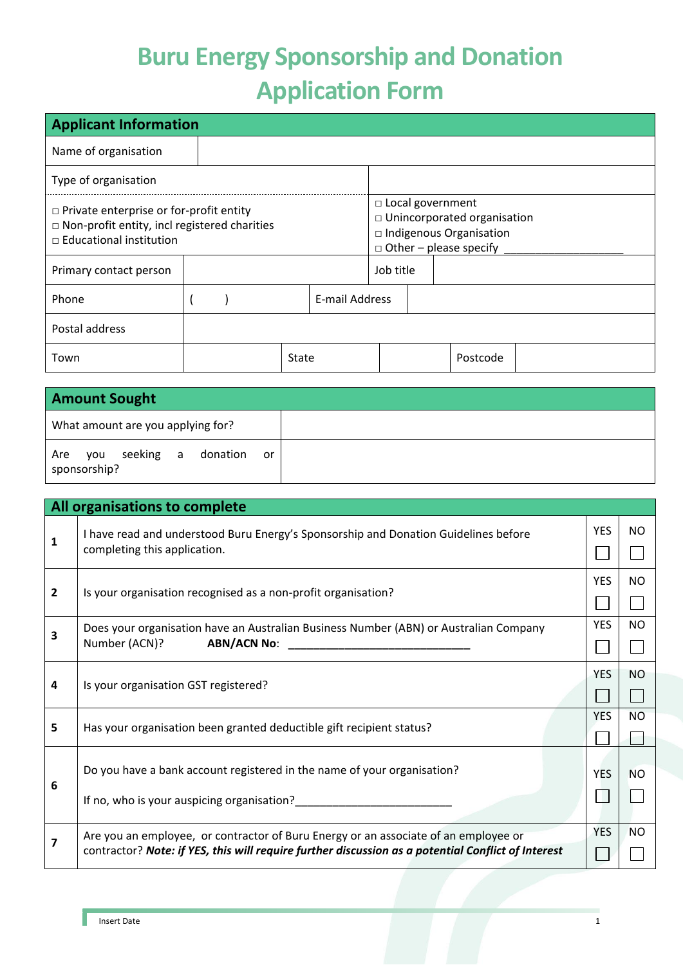## **Buru Energy Sponsorship and Donation Application Form**

| <b>Applicant Information</b>                                                                                                            |  |  |                                                                                                                        |                |  |           |  |          |  |
|-----------------------------------------------------------------------------------------------------------------------------------------|--|--|------------------------------------------------------------------------------------------------------------------------|----------------|--|-----------|--|----------|--|
| Name of organisation                                                                                                                    |  |  |                                                                                                                        |                |  |           |  |          |  |
| Type of organisation                                                                                                                    |  |  |                                                                                                                        |                |  |           |  |          |  |
| $\Box$ Private enterprise or for-profit entity<br>$\Box$ Non-profit entity, incl registered charities<br>$\Box$ Educational institution |  |  | □ Local government<br>□ Unincorporated organisation<br>$\Box$ Indigenous Organisation<br>$\Box$ Other – please specify |                |  |           |  |          |  |
| Primary contact person                                                                                                                  |  |  |                                                                                                                        |                |  | Job title |  |          |  |
| Phone                                                                                                                                   |  |  |                                                                                                                        | E-mail Address |  |           |  |          |  |
| Postal address                                                                                                                          |  |  |                                                                                                                        |                |  |           |  |          |  |
| Town                                                                                                                                    |  |  |                                                                                                                        | State          |  |           |  | Postcode |  |

| <b>Amount Sought</b>                                |  |  |  |
|-----------------------------------------------------|--|--|--|
| What amount are you applying for?                   |  |  |  |
| you seeking a donation<br>Are<br>or<br>sponsorship? |  |  |  |

|                | All organisations to complete                                                                                                                                                             |            |           |
|----------------|-------------------------------------------------------------------------------------------------------------------------------------------------------------------------------------------|------------|-----------|
| 1              | I have read and understood Buru Energy's Sponsorship and Donation Guidelines before<br>completing this application.                                                                       | <b>YES</b> | NO.       |
| $\overline{2}$ | Is your organisation recognised as a non-profit organisation?                                                                                                                             | <b>YES</b> | NO.       |
| 3              | Does your organisation have an Australian Business Number (ABN) or Australian Company<br>Number (ACN)?<br><b>ABN/ACN No:</b>                                                              | <b>YES</b> | NO.       |
| 4              | Is your organisation GST registered?                                                                                                                                                      | <b>YES</b> | <b>NO</b> |
| 5              | Has your organisation been granted deductible gift recipient status?                                                                                                                      | <b>YES</b> | <b>NO</b> |
| 6              | Do you have a bank account registered in the name of your organisation?<br>If no, who is your auspicing organisation?                                                                     | <b>YES</b> | <b>NO</b> |
| 7              | Are you an employee, or contractor of Buru Energy or an associate of an employee or<br>contractor? Note: if YES, this will require further discussion as a potential Conflict of Interest | <b>YES</b> | <b>NO</b> |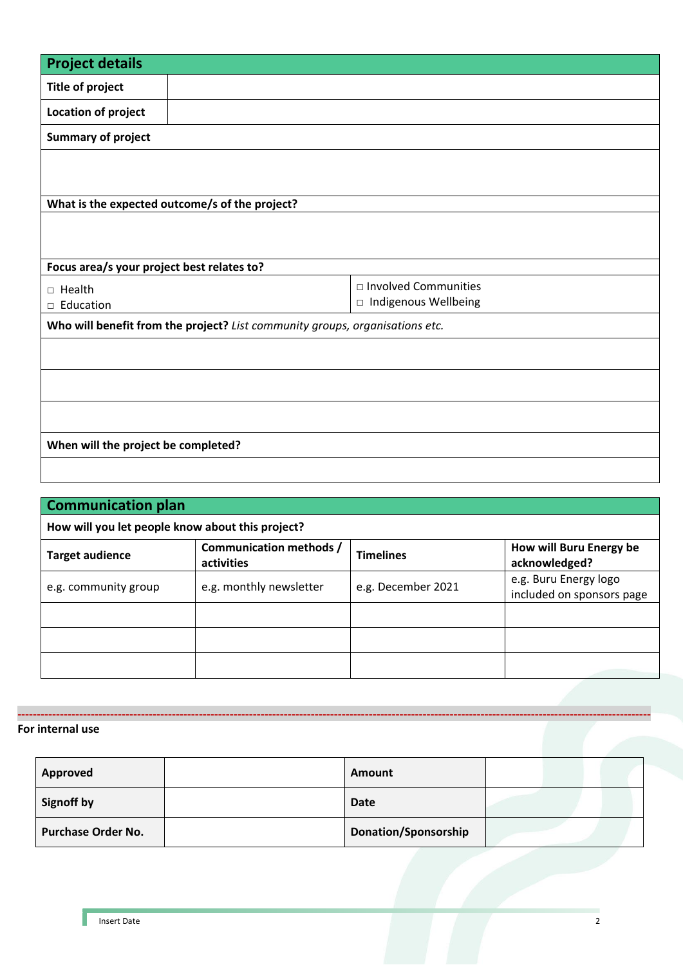| <b>Project details</b>                                                       |                                                |                        |  |  |  |  |
|------------------------------------------------------------------------------|------------------------------------------------|------------------------|--|--|--|--|
| <b>Title of project</b>                                                      |                                                |                        |  |  |  |  |
| Location of project                                                          |                                                |                        |  |  |  |  |
| <b>Summary of project</b>                                                    |                                                |                        |  |  |  |  |
|                                                                              |                                                |                        |  |  |  |  |
|                                                                              |                                                |                        |  |  |  |  |
|                                                                              | What is the expected outcome/s of the project? |                        |  |  |  |  |
|                                                                              |                                                |                        |  |  |  |  |
|                                                                              |                                                |                        |  |  |  |  |
| Focus area/s your project best relates to?                                   |                                                |                        |  |  |  |  |
| $\Box$ Health                                                                |                                                | □ Involved Communities |  |  |  |  |
| Education<br>$\Box$                                                          |                                                | □ Indigenous Wellbeing |  |  |  |  |
| Who will benefit from the project? List community groups, organisations etc. |                                                |                        |  |  |  |  |
|                                                                              |                                                |                        |  |  |  |  |
|                                                                              |                                                |                        |  |  |  |  |
|                                                                              |                                                |                        |  |  |  |  |
|                                                                              |                                                |                        |  |  |  |  |
|                                                                              |                                                |                        |  |  |  |  |
| When will the project be completed?                                          |                                                |                        |  |  |  |  |
|                                                                              |                                                |                        |  |  |  |  |

| <b>Communication plan</b>                        |                                       |                  |                                                    |  |  |  |
|--------------------------------------------------|---------------------------------------|------------------|----------------------------------------------------|--|--|--|
| How will you let people know about this project? |                                       |                  |                                                    |  |  |  |
| <b>Target audience</b>                           | Communication methods /<br>activities | <b>Timelines</b> | How will Buru Energy be<br>acknowledged?           |  |  |  |
| e.g. community group                             | e.g. monthly newsletter               |                  | e.g. Buru Energy logo<br>included on sponsors page |  |  |  |
|                                                  |                                       |                  |                                                    |  |  |  |
|                                                  |                                       |                  |                                                    |  |  |  |
|                                                  |                                       |                  |                                                    |  |  |  |

**-------------------------------------------------------------------------------------------------------------------------------------------------------------------- For internal use**

| Approved                  | Amount                      |  |
|---------------------------|-----------------------------|--|
| <b>Signoff by</b>         | Date                        |  |
| <b>Purchase Order No.</b> | <b>Donation/Sponsorship</b> |  |

H